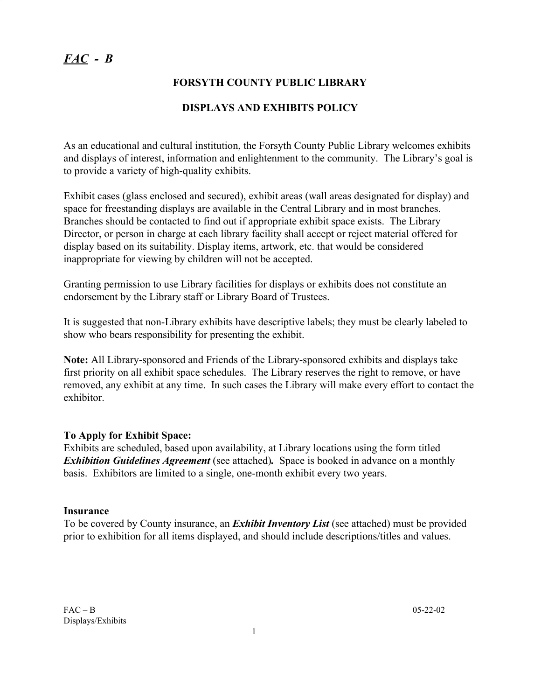# *FAC - B*

## **FORSYTH COUNTY PUBLIC LIBRARY**

## **DISPLAYS AND EXHIBITS POLICY**

As an educational and cultural institution, the Forsyth County Public Library welcomes exhibits and displays of interest, information and enlightenment to the community. The Library's goal is to provide a variety of high-quality exhibits.

Exhibit cases (glass enclosed and secured), exhibit areas (wall areas designated for display) and space for freestanding displays are available in the Central Library and in most branches. Branches should be contacted to find out if appropriate exhibit space exists. The Library Director, or person in charge at each library facility shall accept or reject material offered for display based on its suitability. Display items, artwork, etc. that would be considered inappropriate for viewing by children will not be accepted.

Granting permission to use Library facilities for displays or exhibits does not constitute an endorsement by the Library staff or Library Board of Trustees.

It is suggested that non-Library exhibits have descriptive labels; they must be clearly labeled to show who bears responsibility for presenting the exhibit.

**Note:** All Library-sponsored and Friends of the Library-sponsored exhibits and displays take first priority on all exhibit space schedules. The Library reserves the right to remove, or have removed, any exhibit at any time. In such cases the Library will make every effort to contact the exhibitor.

### **To Apply for Exhibit Space:**

Exhibits are scheduled, based upon availability, at Library locations using the form titled *Exhibition Guidelines Agreement* (see attached). Space is booked in advance on a monthly basis. Exhibitors are limited to a single, one-month exhibit every two years.

### **Insurance**

To be covered by County insurance, an *Exhibit Inventory List* (see attached) must be provided prior to exhibition for all items displayed, and should include descriptions/titles and values.